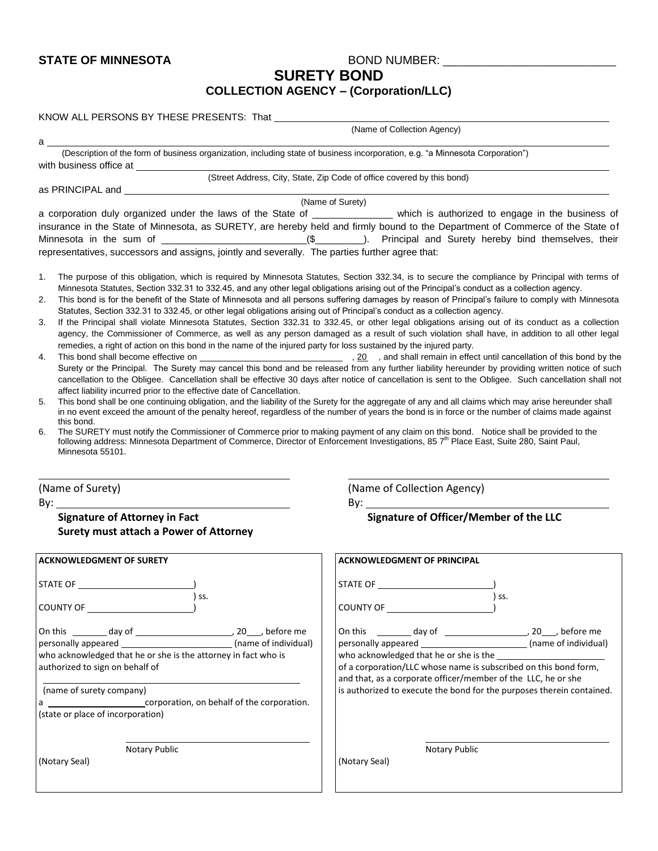## **STATE OF MINNESOTA** BOND NUMBER: \_\_\_\_\_\_\_\_\_\_\_\_\_\_\_\_\_\_\_\_\_\_\_\_\_\_\_\_\_

**SURETY BOND** 

## **COLLECTION AGENCY – (Corporation/LLC)**

| (Name of Collection Agency)                                                                                                                                                                                                                                                                                                                                                                                                                                                                                                                                                                                                                                                                                                                                                                                                         |                                                                                                                                                                                                                                                                                                                                                                                                                                                                                                                                                                                                             |  |  |  |
|-------------------------------------------------------------------------------------------------------------------------------------------------------------------------------------------------------------------------------------------------------------------------------------------------------------------------------------------------------------------------------------------------------------------------------------------------------------------------------------------------------------------------------------------------------------------------------------------------------------------------------------------------------------------------------------------------------------------------------------------------------------------------------------------------------------------------------------|-------------------------------------------------------------------------------------------------------------------------------------------------------------------------------------------------------------------------------------------------------------------------------------------------------------------------------------------------------------------------------------------------------------------------------------------------------------------------------------------------------------------------------------------------------------------------------------------------------------|--|--|--|
| a a<br>(Description of the form of business organization, including state of business incorporation, e.g. "a Minnesota Corporation")                                                                                                                                                                                                                                                                                                                                                                                                                                                                                                                                                                                                                                                                                                |                                                                                                                                                                                                                                                                                                                                                                                                                                                                                                                                                                                                             |  |  |  |
|                                                                                                                                                                                                                                                                                                                                                                                                                                                                                                                                                                                                                                                                                                                                                                                                                                     |                                                                                                                                                                                                                                                                                                                                                                                                                                                                                                                                                                                                             |  |  |  |
|                                                                                                                                                                                                                                                                                                                                                                                                                                                                                                                                                                                                                                                                                                                                                                                                                                     | (Street Address, City, State, Zip Code of office covered by this bond)                                                                                                                                                                                                                                                                                                                                                                                                                                                                                                                                      |  |  |  |
|                                                                                                                                                                                                                                                                                                                                                                                                                                                                                                                                                                                                                                                                                                                                                                                                                                     | (Name of Surety)                                                                                                                                                                                                                                                                                                                                                                                                                                                                                                                                                                                            |  |  |  |
| representatives, successors and assigns, jointly and severally. The parties further agree that:                                                                                                                                                                                                                                                                                                                                                                                                                                                                                                                                                                                                                                                                                                                                     | a corporation duly organized under the laws of the State of ______________ which is authorized to engage in the business of<br>insurance in the State of Minnesota, as SURETY, are hereby held and firmly bound to the Department of Commerce of the State of                                                                                                                                                                                                                                                                                                                                               |  |  |  |
| 1.<br>Minnesota Statutes, Section 332.31 to 332.45, and any other legal obligations arising out of the Principal's conduct as a collection agency.<br>2.<br>Statutes, Section 332.31 to 332.45, or other legal obligations arising out of Principal's conduct as a collection agency.<br>3.                                                                                                                                                                                                                                                                                                                                                                                                                                                                                                                                         | The purpose of this obligation, which is required by Minnesota Statutes, Section 332.34, is to secure the compliance by Principal with terms of<br>This bond is for the benefit of the State of Minnesota and all persons suffering damages by reason of Principal's failure to comply with Minnesota<br>If the Principal shall violate Minnesota Statutes, Section 332.31 to 332.45, or other legal obligations arising out of its conduct as a collection<br>agency, the Commissioner of Commerce, as well as any person damaged as a result of such violation shall have, in addition to all other legal |  |  |  |
| remedies, a right of action on this bond in the name of the injured party for loss sustained by the injured party.<br>4.<br>Surety or the Principal. The Surety may cancel this bond and be released from any further liability hereunder by providing written notice of such<br>cancellation to the Obligee. Cancellation shall be effective 30 days after notice of cancellation is sent to the Obligee. Such cancellation shall not<br>affect liability incurred prior to the effective date of Cancellation.<br>This bond shall be one continuing obligation, and the liability of the Surety for the aggregate of any and all claims which may arise hereunder shall<br>5.<br>in no event exceed the amount of the penalty hereof, regardless of the number of years the bond is in force or the number of claims made against |                                                                                                                                                                                                                                                                                                                                                                                                                                                                                                                                                                                                             |  |  |  |
| this bond.<br>The SURETY must notify the Commissioner of Commerce prior to making payment of any claim on this bond. Notice shall be provided to the<br>6.<br>following address: Minnesota Department of Commerce, Director of Enforcement Investigations, 85 7 <sup>th</sup> Place East, Suite 280, Saint Paul,<br>Minnesota 55101.                                                                                                                                                                                                                                                                                                                                                                                                                                                                                                |                                                                                                                                                                                                                                                                                                                                                                                                                                                                                                                                                                                                             |  |  |  |
| (Name of Surety)                                                                                                                                                                                                                                                                                                                                                                                                                                                                                                                                                                                                                                                                                                                                                                                                                    | (Name of Collection Agency)                                                                                                                                                                                                                                                                                                                                                                                                                                                                                                                                                                                 |  |  |  |
| $\mathsf{By:}\n \overline{\phantom{aa}}$                                                                                                                                                                                                                                                                                                                                                                                                                                                                                                                                                                                                                                                                                                                                                                                            |                                                                                                                                                                                                                                                                                                                                                                                                                                                                                                                                                                                                             |  |  |  |
| <b>Signature of Attorney in Fact</b><br>Surety must attach a Power of Attorney                                                                                                                                                                                                                                                                                                                                                                                                                                                                                                                                                                                                                                                                                                                                                      | Signature of Officer/Member of the LLC                                                                                                                                                                                                                                                                                                                                                                                                                                                                                                                                                                      |  |  |  |
| <b>ACKNOWLEDGMENT OF SURETY</b>                                                                                                                                                                                                                                                                                                                                                                                                                                                                                                                                                                                                                                                                                                                                                                                                     | <b>ACKNOWLEDGMENT OF PRINCIPAL</b>                                                                                                                                                                                                                                                                                                                                                                                                                                                                                                                                                                          |  |  |  |
| ) ss.                                                                                                                                                                                                                                                                                                                                                                                                                                                                                                                                                                                                                                                                                                                                                                                                                               | ) ss.                                                                                                                                                                                                                                                                                                                                                                                                                                                                                                                                                                                                       |  |  |  |
|                                                                                                                                                                                                                                                                                                                                                                                                                                                                                                                                                                                                                                                                                                                                                                                                                                     | COUNTY OF <b>Example 20</b>                                                                                                                                                                                                                                                                                                                                                                                                                                                                                                                                                                                 |  |  |  |
| personally appeared _________________________________ (name of individual)<br>who acknowledged that he or she is the attorney in fact who is<br>authorized to sign on behalf of<br>(name of surety company)<br>a _____________________________corporation, on behalf of the corporation.<br>(state or place of incorporation)                                                                                                                                                                                                                                                                                                                                                                                                                                                                                                       | personally appeared ________________________________(name of individual)<br>who acknowledged that he or she is the<br>of a corporation/LLC whose name is subscribed on this bond form,<br>and that, as a corporate officer/member of the LLC, he or she<br>is authorized to execute the bond for the purposes therein contained.                                                                                                                                                                                                                                                                            |  |  |  |
| Notary Public<br>(Notary Seal)                                                                                                                                                                                                                                                                                                                                                                                                                                                                                                                                                                                                                                                                                                                                                                                                      | Notary Public<br>(Notary Seal)                                                                                                                                                                                                                                                                                                                                                                                                                                                                                                                                                                              |  |  |  |